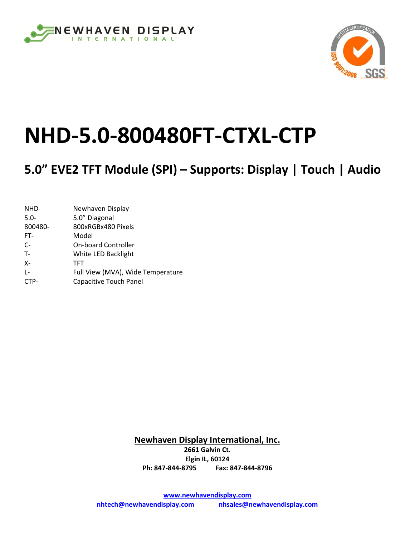



# **NHD-5.0-800480FT-CTXL-CTP**

# **5.0" EVE2 TFT Module (SPI) – Supports: Display | Touch | Audio**

| NHD-    | Newhaven Display                  |
|---------|-----------------------------------|
| $5.0 -$ | 5.0" Diagonal                     |
| 800480- | 800xRGBx480 Pixels                |
| FT-     | Model                             |
| $C-$    | <b>On-board Controller</b>        |
| $T -$   | White LED Backlight               |
| $X -$   | TFT                               |
| $L -$   | Full View (MVA), Wide Temperature |
| CTP-    | Capacitive Touch Panel            |

**Newhaven Display International, Inc. 2661 Galvin Ct. Elgin IL, 60124 Ph: 847-844-8795 Fax: 847-844-8796**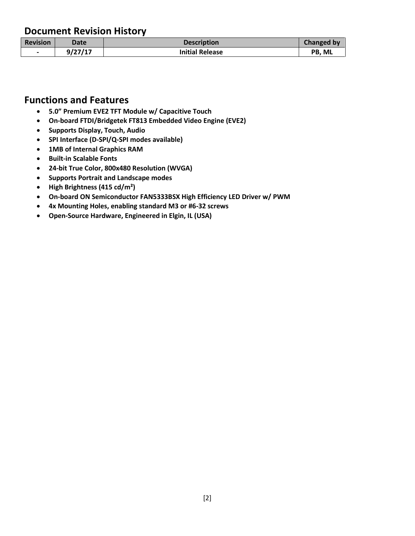#### **Document Revision History**

| <b>Revision</b>          | Date    | <b>Description</b>     | <b>Changed by</b> |
|--------------------------|---------|------------------------|-------------------|
| $\overline{\phantom{0}}$ | 9/27/17 | <b>Initial Release</b> | <b>PB. ML</b>     |

#### **Functions and Features**

- **5.0" Premium EVE2 TFT Module w/ Capacitive Touch**
- **On-board FTDI/Bridgetek FT813 Embedded Video Engine (EVE2)**
- **Supports Display, Touch, Audio**
- **SPI Interface (D-SPI/Q-SPI modes available)**
- **1MB of Internal Graphics RAM**
- **•** Built-in Scalable Fonts
- **24-bit True Color, 800x480 Resolution (WVGA)**
- **Supports Portrait and Landscape modes**
- **High Brightness (415 cd/m²)**
- **On-board ON Semiconductor FAN5333BSX High Efficiency LED Driver w/ PWM**
- **4x Mounting Holes, enabling standard M3 or #6-32 screws**
- **Open-Source Hardware, Engineered in Elgin, IL (USA)**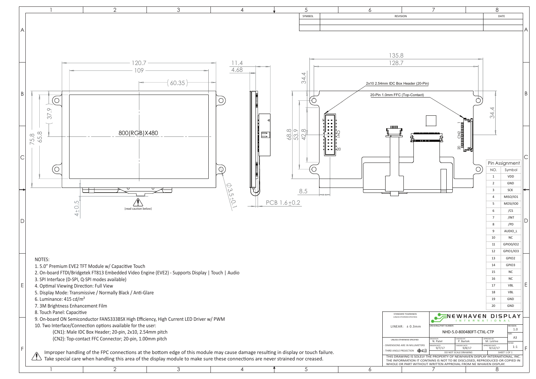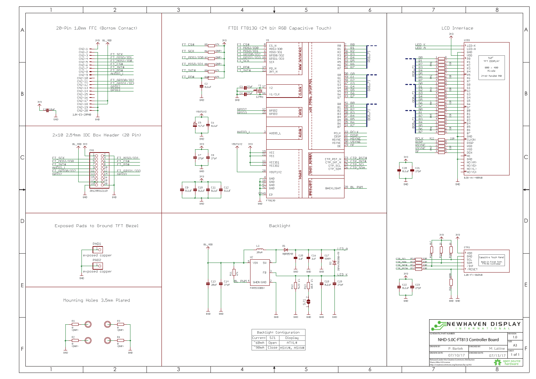

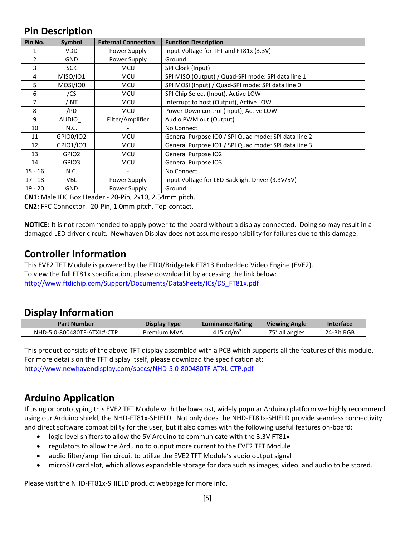#### **Pin Description**

| Pin No.       | <b>Symbol</b>     | <b>External Connection</b> | <b>Function Description</b>                          |
|---------------|-------------------|----------------------------|------------------------------------------------------|
| 1             | <b>VDD</b>        | Power Supply               | Input Voltage for TFT and FT81x (3.3V)               |
| $\mathcal{L}$ | <b>GND</b>        | Power Supply               | Ground                                               |
| 3             | <b>SCK</b>        | <b>MCU</b>                 | SPI Clock (Input)                                    |
| 4             | MISO/IO1          | <b>MCU</b>                 | SPI MISO (Output) / Quad-SPI mode: SPI data line 1   |
| 5             | MOSI/IO0          | MCU                        | SPI MOSI (Input) / Quad-SPI mode: SPI data line 0    |
| 6             | /CS               | <b>MCU</b>                 | SPI Chip Select (Input), Active LOW                  |
| 7             | /INT              | <b>MCU</b>                 | Interrupt to host (Output), Active LOW               |
| 8             | /PD               | <b>MCU</b>                 | Power Down control (Input), Active LOW               |
| 9             | AUDIO L           | Filter/Amplifier           | Audio PWM out (Output)                               |
| 10            | N.C.              |                            | No Connect                                           |
| 11            | GPIO0/IO2         | <b>MCU</b>                 | General Purpose IO0 / SPI Quad mode: SPI data line 2 |
| 12            | GPIO1/IO3         | MCU                        | General Purpose IO1 / SPI Quad mode: SPI data line 3 |
| 13            | GPIO <sub>2</sub> | <b>MCU</b>                 | General Purpose IO2                                  |
| 14            | GPIO3             | <b>MCU</b>                 | General Purpose IO3                                  |
| $15 - 16$     | N.C.              |                            | No Connect                                           |
| $17 - 18$     | VBL.              | Power Supply               | Input Voltage for LED Backlight Driver (3.3V/5V)     |
| $19 - 20$     | <b>GND</b>        | Power Supply               | Ground                                               |

**CN1:** Male IDC Box Header - 20-Pin, 2x10, 2.54mm pitch.

**CN2:** FFC Connector - 20-Pin, 1.0mm pitch, Top-contact.

**NOTICE:** It is not recommended to apply power to the board without a display connected. Doing so may result in a damaged LED driver circuit. Newhaven Display does not assume responsibility for failures due to this damage.

#### **Controller Information**

This EVE2 TFT Module is powered by the FTDI/Bridgetek FT813 Embedded Video Engine (EVE2). To view the full FT81x specification, please download it by accessing the link below: [http://www.ftdichip.com/Support/Documents/DataSheets/ICs/DS\\_FT81x.pdf](http://www.ftdichip.com/Support/Documents/DataSheets/ICs/DS_FT81x.pdf)

#### **Display Information**

| <b>Part Number</b>         | <b>Display Type</b> | <b>Luminance Rating</b> | <b>Viewing Angle</b> | <b>Interface</b> |
|----------------------------|---------------------|-------------------------|----------------------|------------------|
| NHD-5.0-800480TF-ATXL#-CTP | Premium MVA         | 415 cd/ $m2$            | 75° all angles       | 24-Bit RGB       |

This product consists of the above TFT display assembled with a PCB which supports all the features of this module. For more details on the TFT display itself, please download the specification at: <http://www.newhavendisplay.com/specs/NHD-5.0-800480TF-ATXL-CTP.pdf>

## **Arduino Application**

If using or prototyping this EVE2 TFT Module with the low-cost, widely popular Arduino platform we highly recommend using our Arduino shield, the NHD-FT81x-SHIELD. Not only does the NHD-FT81x-SHIELD provide seamless connectivity and direct software compatibility for the user, but it also comes with the following useful features on-board:

- logic level shifters to allow the 5V Arduino to communicate with the 3.3V FT81x
- regulators to allow the Arduino to output more current to the EVE2 TFT Module
- audio filter/amplifier circuit to utilize the EVE2 TFT Module's audio output signal
- microSD card slot, which allows expandable storage for data such as images, video, and audio to be stored.

Please visit the NHD-FT81x-SHIELD product webpage for more info.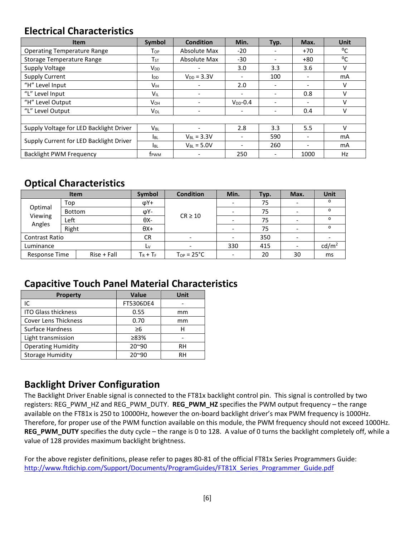#### **Electrical Characteristics**

| <b>Item</b>                             | Symbol                 | <b>Condition</b>             | Min.                     | Typ.                     | Max.                     | <b>Unit</b> |
|-----------------------------------------|------------------------|------------------------------|--------------------------|--------------------------|--------------------------|-------------|
| <b>Operating Temperature Range</b>      | Top                    | Absolute Max                 | $-20$                    | -                        | $+70$                    | °C          |
| <b>Storage Temperature Range</b>        | $T_{ST}$               | Absolute Max                 | $-30$                    |                          | $+80$                    | °C          |
| Supply Voltage                          | V <sub>DD</sub>        | $\qquad \qquad$              | 3.0                      | 3.3                      | 3.6                      | V           |
| <b>Supply Current</b>                   | <b>I</b> <sub>DD</sub> | $V_{DD} = 3.3V$              | $\overline{\phantom{0}}$ | 100                      | $\overline{\phantom{a}}$ | mA          |
| "H" Level Input                         | V <sub>IH</sub>        | $\qquad \qquad \blacksquare$ | 2.0                      |                          |                          | v           |
| "L" Level Input                         | VIL                    |                              |                          | $\overline{\phantom{0}}$ | 0.8                      | v           |
| "H" Level Output                        | Vон                    | $\overline{\phantom{a}}$     | $V_{DD} - 0.4$           | $\overline{\phantom{0}}$ | $\overline{\phantom{a}}$ | v           |
| "L" Level Output                        | Vol                    | $\overline{\phantom{a}}$     | $\overline{\phantom{0}}$ | $\overline{\phantom{0}}$ | 0.4                      | v           |
|                                         |                        |                              |                          |                          |                          |             |
| Supply Voltage for LED Backlight Driver | $V_{BL}$               | ٠                            | 2.8                      | 3.3                      | 5.5                      | v           |
|                                         | <b>I</b> BL            | $V_{BL}$ = 3.3V              |                          | 590                      |                          | mA          |
| Supply Current for LED Backlight Driver | <b>I</b> BL            | $V_{BL}$ = 5.0V              |                          | 260                      |                          | mA          |
| <b>Backlight PWM Frequency</b>          | f <sub>rwm</sub>       |                              | 250                      |                          | 1000                     | Hz          |

## **Optical Characteristics**

|                              | <b>Item</b>   |               | Symbol      | <b>Condition</b>       | Min. | Typ. | Max.              | Unit     |
|------------------------------|---------------|---------------|-------------|------------------------|------|------|-------------------|----------|
| Optimal<br>Viewing<br>Angles | Top<br>Bottom |               | $\phi$ Y+   |                        |      | 75   |                   | ο        |
|                              |               |               | φΥ-         |                        |      | 75   |                   | O        |
|                              | Left          |               | $\theta$ X- | $CR \ge 10$            |      | 75   |                   | O        |
|                              | Right         |               | $\theta X+$ |                        |      | 75   |                   | $\Omega$ |
| <b>Contrast Ratio</b>        |               | CR.           |             |                        | 350  |      |                   |          |
| Luminance                    |               | Ly            |             | 330                    | 415  |      | cd/m <sup>2</sup> |          |
| Response Time                |               | $Rise + Fall$ | $T_R + T_F$ | $T_{OP} = 25^{\circ}C$ |      | 20   | 30                | ms       |

#### **Capacitive Touch Panel Material Characteristics**

| <b>Property</b>             | Value          | Unit |
|-----------------------------|----------------|------|
| IC                          | FT5306DE4      |      |
| <b>ITO Glass thickness</b>  | 0.55           | mm   |
| <b>Cover Lens Thickness</b> | 0.70           | mm   |
| Surface Hardness            | $\geq 6$       | н    |
| Light transmission          | ≥83%           |      |
| <b>Operating Humidity</b>   | 20~90          | RH   |
| <b>Storage Humidity</b>     | $20^{\circ}90$ | RH   |

## **Backlight Driver Configuration**

The Backlight Driver Enable signal is connected to the FT81x backlight control pin. This signal is controlled by two registers: REG\_PWM\_HZ and REG\_PWM\_DUTY. **REG\_PWM\_HZ** specifies the PWM output frequency – the range available on the FT81x is 250 to 10000Hz, however the on-board backlight driver's max PWM frequency is 1000Hz. Therefore, for proper use of the PWM function available on this module, the PWM frequency should not exceed 1000Hz. **REG\_PWM\_DUTY** specifies the duty cycle – the range is 0 to 128. A value of 0 turns the backlight completely off, while a value of 128 provides maximum backlight brightness.

For the above register definitions, please refer to pages 80-81 of the official FT81x Series Programmers Guide: [http://www.ftdichip.com/Support/Documents/ProgramGuides/FT81X\\_Series\\_Programmer\\_Guide.pdf](http://www.ftdichip.com/Support/Documents/ProgramGuides/FT81X_Series_Programmer_Guide.pdf)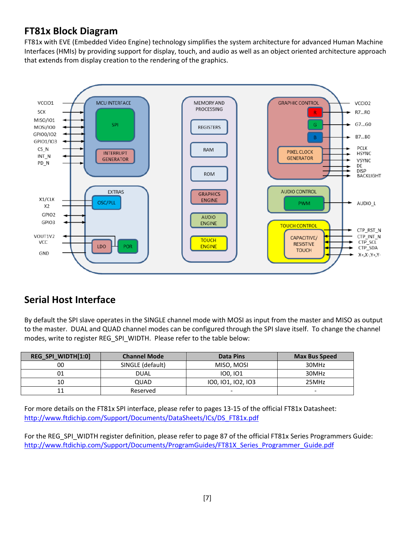## **FT81x Block Diagram**

FT81x with EVE (Embedded Video Engine) technology simplifies the system architecture for advanced Human Machine Interfaces (HMIs) by providing support for display, touch, and audio as well as an object oriented architecture approach that extends from display creation to the rendering of the graphics.



## **Serial Host Interface**

By default the SPI slave operates in the SINGLE channel mode with MOSI as input from the master and MISO as output to the master. DUAL and QUAD channel modes can be configured through the SPI slave itself. To change the channel modes, write to register REG\_SPI\_WIDTH. Please refer to the table below:

| REG_SPI_WIDTH[1:0] | <b>Channel Mode</b> | Data Pins          | <b>Max Bus Speed</b> |
|--------------------|---------------------|--------------------|----------------------|
| 00                 | SINGLE (default)    | MISO, MOSI         | 30MHz                |
| 01                 | <b>DUAL</b>         | 100.101            | 30MHz                |
| 10                 | QUAD                | 100, 101, 102, 103 | 25MHz                |
| ᆠ                  | Reserved            | -                  |                      |

For more details on the FT81x SPI interface, please refer to pages 13-15 of the official FT81x Datasheet: [http://www.ftdichip.com/Support/Documents/DataSheets/ICs/DS\\_FT81x.pdf](http://www.ftdichip.com/Support/Documents/DataSheets/ICs/DS_FT81x.pdf)

For the REG\_SPI\_WIDTH register definition, please refer to page 87 of the official FT81x Series Programmers Guide: [http://www.ftdichip.com/Support/Documents/ProgramGuides/FT81X\\_Series\\_Programmer\\_Guide.pdf](http://www.ftdichip.com/Support/Documents/ProgramGuides/FT81X_Series_Programmer_Guide.pdf)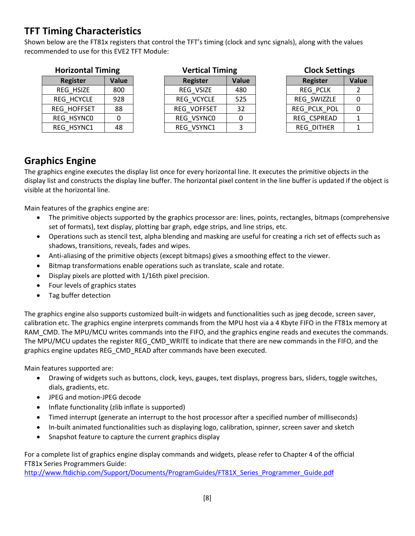## **TFT Timing Characteristics**

Shown below are the FT81x registers that control the TFT's timing (clock and sync signals), along with the values recommended to use for this EVE2 TFT Module:

| <b>Horizontal Timing</b> |       | <b>Vertical Timing</b> |       | <b>Clock Settings</b> |       |
|--------------------------|-------|------------------------|-------|-----------------------|-------|
| Register                 | Value | Register               | Value | <b>Register</b>       | Value |
| REG HSIZE                | 800   | REG VSIZE              | 480   | <b>REG PCLK</b>       |       |
| REG HCYCLE               | 928   | REG VCYCLE             | 525   | REG SWIZZLE           |       |
| REG HOFFSET              | 88    | REG VOFFSET            | 32    | REG PCLK POL          |       |
| REG HSYNCO               |       | REG VSYNCO             |       | REG CSPREAD           |       |
| REG HSYNC1               | 48    | REG VSYNC1             |       | <b>REG DITHER</b>     |       |

| <b>Clock Settings</b> |  |  |  |
|-----------------------|--|--|--|
|-----------------------|--|--|--|

| <b>Register</b>   | <b>Value</b> |
|-------------------|--------------|
| <b>REG PCLK</b>   | 2            |
| REG SWIZZLE       | ი            |
| REG PCLK POL      | ი            |
| REG CSPREAD       | 1            |
| <b>REG DITHER</b> |              |

#### **Graphics Engine**

The graphics engine executes the display list once for every horizontal line. It executes the primitive objects in the display list and constructs the display line buffer. The horizontal pixel content in the line buffer is updated if the object is visible at the horizontal line.

Main features of the graphics engine are:

- The primitive objects supported by the graphics processor are: lines, points, rectangles, bitmaps (comprehensive set of formats), text display, plotting bar graph, edge strips, and line strips, etc.
- Operations such as stencil test, alpha blending and masking are useful for creating a rich set of effects such as shadows, transitions, reveals, fades and wipes.
- Anti-aliasing of the primitive objects (except bitmaps) gives a smoothing effect to the viewer.
- Bitmap transformations enable operations such as translate, scale and rotate.
- Display pixels are plotted with 1/16th pixel precision.
- Four levels of graphics states
- Tag buffer detection

The graphics engine also supports customized built-in widgets and functionalities such as jpeg decode, screen saver, calibration etc. The graphics engine interprets commands from the MPU host via a 4 Kbyte FIFO in the FT81x memory at RAM\_CMD. The MPU/MCU writes commands into the FIFO, and the graphics engine reads and executes the commands. The MPU/MCU updates the register REG\_CMD\_WRITE to indicate that there are new commands in the FIFO, and the graphics engine updates REG\_CMD\_READ after commands have been executed.

Main features supported are:

- Drawing of widgets such as buttons, clock, keys, gauges, text displays, progress bars, sliders, toggle switches, dials, gradients, etc.
- JPEG and motion-JPEG decode
- Inflate functionality (zlib inflate is supported)
- Timed interrupt (generate an interrupt to the host processor after a specified number of milliseconds)
- In-built animated functionalities such as displaying logo, calibration, spinner, screen saver and sketch
- Snapshot feature to capture the current graphics display

For a complete list of graphics engine display commands and widgets, please refer to Chapter 4 of the official FT81x Series Programmers Guide:

[http://www.ftdichip.com/Support/Documents/ProgramGuides/FT81X\\_Series\\_Programmer\\_Guide.pdf](http://www.ftdichip.com/Support/Documents/ProgramGuides/FT81X_Series_Programmer_Guide.pdf)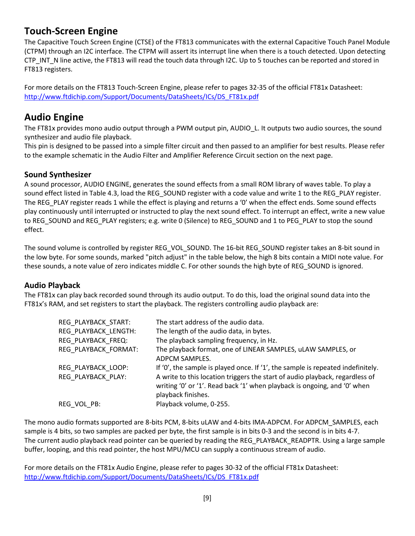#### **Touch-Screen Engine**

The Capacitive Touch Screen Engine (CTSE) of the FT813 communicates with the external Capacitive Touch Panel Module (CTPM) through an I2C interface. The CTPM will assert its interrupt line when there is a touch detected. Upon detecting CTP\_INT\_N line active, the FT813 will read the touch data through I2C. Up to 5 touches can be reported and stored in FT813 registers.

For more details on the FT813 Touch-Screen Engine, please refer to pages 32-35 of the official FT81x Datasheet: [http://www.ftdichip.com/Support/Documents/DataSheets/ICs/DS\\_FT81x.pdf](http://www.ftdichip.com/Support/Documents/DataSheets/ICs/DS_FT81x.pdf)

#### **Audio Engine**

The FT81x provides mono audio output through a PWM output pin, AUDIO L. It outputs two audio sources, the sound synthesizer and audio file playback.

This pin is designed to be passed into a simple filter circuit and then passed to an amplifier for best results. Please refer to the example schematic in the Audio Filter and Amplifier Reference Circuit section on the next page.

#### **Sound Synthesizer**

A sound processor, AUDIO ENGINE, generates the sound effects from a small ROM library of waves table. To play a sound effect listed in Table 4.3, load the REG\_SOUND register with a code value and write 1 to the REG\_PLAY register. The REG PLAY register reads 1 while the effect is playing and returns a '0' when the effect ends. Some sound effects play continuously until interrupted or instructed to play the next sound effect. To interrupt an effect, write a new value to REG\_SOUND and REG\_PLAY registers; e.g. write 0 (Silence) to REG\_SOUND and 1 to PEG\_PLAY to stop the sound effect.

The sound volume is controlled by register REG\_VOL\_SOUND. The 16-bit REG\_SOUND register takes an 8-bit sound in the low byte. For some sounds, marked "pitch adjust" in the table below, the high 8 bits contain a MIDI note value. For these sounds, a note value of zero indicates middle C. For other sounds the high byte of REG\_SOUND is ignored.

#### **Audio Playback**

The FT81x can play back recorded sound through its audio output. To do this, load the original sound data into the FT81x's RAM, and set registers to start the playback. The registers controlling audio playback are:

| REG PLAYBACK START:  | The start address of the audio data.                                                                                                                                           |
|----------------------|--------------------------------------------------------------------------------------------------------------------------------------------------------------------------------|
| REG PLAYBACK LENGTH: | The length of the audio data, in bytes.                                                                                                                                        |
| REG PLAYBACK FREQ:   | The playback sampling frequency, in Hz.                                                                                                                                        |
| REG PLAYBACK FORMAT: | The playback format, one of LINEAR SAMPLES, uLAW SAMPLES, or<br>ADPCM SAMPLES.                                                                                                 |
| REG PLAYBACK LOOP:   | If '0', the sample is played once. If '1', the sample is repeated indefinitely.                                                                                                |
| REG PLAYBACK PLAY:   | A write to this location triggers the start of audio playback, regardless of<br>writing '0' or '1'. Read back '1' when playback is ongoing, and '0' when<br>playback finishes. |
| REG VOL PB:          | Playback volume, 0-255.                                                                                                                                                        |

The mono audio formats supported are 8-bits PCM, 8-bits uLAW and 4-bits IMA-ADPCM. For ADPCM\_SAMPLES, each sample is 4 bits, so two samples are packed per byte, the first sample is in bits 0-3 and the second is in bits 4-7. The current audio playback read pointer can be queried by reading the REG\_PLAYBACK\_READPTR. Using a large sample buffer, looping, and this read pointer, the host MPU/MCU can supply a continuous stream of audio.

For more details on the FT81x Audio Engine, please refer to pages 30-32 of the official FT81x Datasheet: [http://www.ftdichip.com/Support/Documents/DataSheets/ICs/DS\\_FT81x.pdf](http://www.ftdichip.com/Support/Documents/DataSheets/ICs/DS_FT81x.pdf)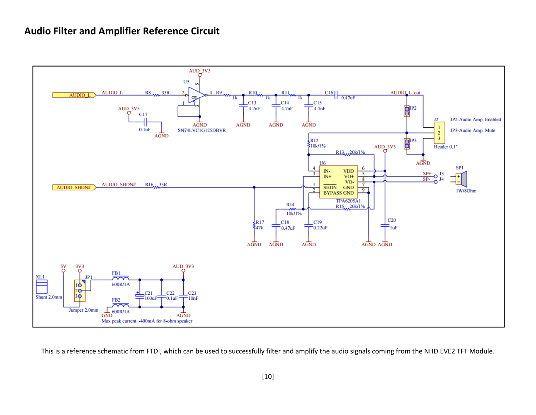#### **Audio Filter and Amplifier Reference Circuit**



This is a reference schematic from FTDI, which can be used to successfully filter and amplify the audio signals coming from the NHD EVE2 TFT Module.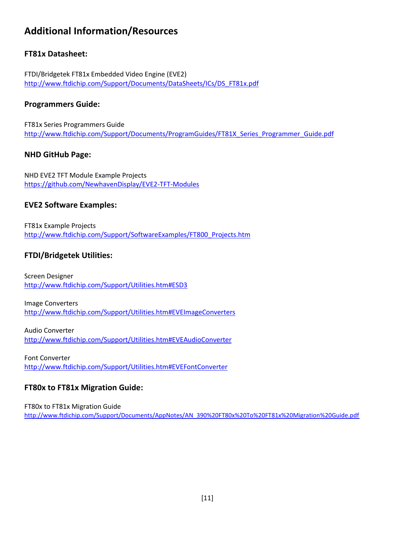## **Additional Information/Resources**

#### **FT81x Datasheet:**

FTDI/Bridgetek FT81x Embedded Video Engine (EVE2) [http://www.ftdichip.com/Support/Documents/DataSheets/ICs/DS\\_FT81x.pdf](http://www.ftdichip.com/Support/Documents/DataSheets/ICs/DS_FT81x.pdf)

#### **Programmers Guide:**

FT81x Series Programmers Guide [http://www.ftdichip.com/Support/Documents/ProgramGuides/FT81X\\_Series\\_Programmer\\_Guide.pdf](http://www.ftdichip.com/Support/Documents/ProgramGuides/FT81X_Series_Programmer_Guide.pdf)

#### **NHD GitHub Page:**

NHD EVE2 TFT Module Example Projects <https://github.com/NewhavenDisplay/EVE2-TFT-Modules>

#### **EVE2 Software Examples:**

FT81x Example Projects [http://www.ftdichip.com/Support/SoftwareExamples/FT800\\_Projects.htm](http://www.ftdichip.com/Support/SoftwareExamples/FT800_Projects.htm)

#### **FTDI/Bridgetek Utilities:**

Screen Designer <http://www.ftdichip.com/Support/Utilities.htm#ESD3>

Image Converters <http://www.ftdichip.com/Support/Utilities.htm#EVEImageConverters>

Audio Converter <http://www.ftdichip.com/Support/Utilities.htm#EVEAudioConverter>

Font Converter <http://www.ftdichip.com/Support/Utilities.htm#EVEFontConverter>

#### **FT80x to FT81x Migration Guide:**

FT80x to FT81x Migration Guide [http://www.ftdichip.com/Support/Documents/AppNotes/AN\\_390%20FT80x%20To%20FT81x%20Migration%20Guide.pdf](http://www.ftdichip.com/Support/Documents/AppNotes/AN_390%20FT80x%20To%20FT81x%20Migration%20Guide.pdf)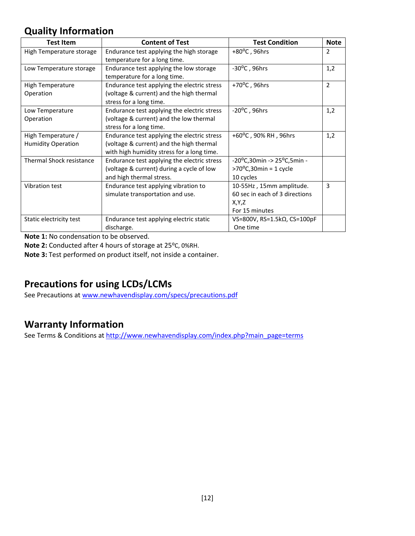## **Quality Information**

| <b>Test Item</b>                                | <b>Content of Test</b>                                                                                                                | <b>Test Condition</b>                                                                 | <b>Note</b>    |
|-------------------------------------------------|---------------------------------------------------------------------------------------------------------------------------------------|---------------------------------------------------------------------------------------|----------------|
| High Temperature storage                        | Endurance test applying the high storage<br>temperature for a long time.                                                              | $+80^{\circ}$ C, 96hrs                                                                | $\overline{2}$ |
| Low Temperature storage                         | Endurance test applying the low storage<br>temperature for a long time.                                                               | $-30^{\circ}$ C, 96hrs                                                                | 1,2            |
| <b>High Temperature</b><br>Operation            | Endurance test applying the electric stress<br>(voltage & current) and the high thermal<br>stress for a long time.                    | +70 $^{\circ}$ C, 96hrs                                                               | $\overline{2}$ |
| Low Temperature<br>Operation                    | Endurance test applying the electric stress<br>(voltage & current) and the low thermal<br>stress for a long time.                     | $-20^{\circ}$ C, 96hrs                                                                | 1,2            |
| High Temperature /<br><b>Humidity Operation</b> | Endurance test applying the electric stress<br>(voltage & current) and the high thermal<br>with high humidity stress for a long time. | +60 $^{\circ}$ C, 90% RH, 96hrs                                                       | 1,2            |
| Thermal Shock resistance                        | Endurance test applying the electric stress<br>(voltage & current) during a cycle of low<br>and high thermal stress.                  | $-20^{\circ}$ C,30min -> 25°C,5min -<br>$>70^{\circ}$ C,30min = 1 cycle<br>10 cycles  |                |
| Vibration test                                  | Endurance test applying vibration to<br>simulate transportation and use.                                                              | 10-55Hz, 15mm amplitude.<br>60 sec in each of 3 directions<br>X,Y,Z<br>For 15 minutes | 3              |
| Static electricity test                         | Endurance test applying electric static<br>discharge.                                                                                 | VS=800V, RS=1.5kΩ, CS=100pF<br>One time                                               |                |

**Note 1:** No condensation to be observed.

**Note 2:** Conducted after 4 hours of storage at 25⁰C, 0%RH.

**Note 3:** Test performed on product itself, not inside a container.

## **Precautions for using LCDs/LCMs**

See Precautions at [www.newhavendisplay.com/specs/precautions.pdf](http://www.newhavendisplay.com/specs/precautions.pdf)

## **Warranty Information**

See Terms & Conditions a[t http://www.newhavendisplay.com/index.php?main\\_page=terms](http://www.newhavendisplay.com/index.php?main_page=terms)